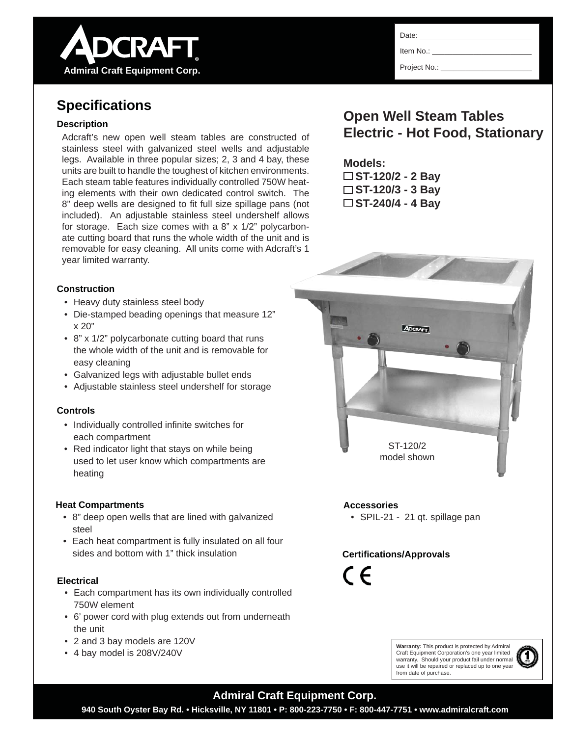

# **Specifi cations**

### **Description**

Adcraft's new open well steam tables are constructed of stainless steel with galvanized steel wells and adjustable legs. Available in three popular sizes; 2, 3 and 4 bay, these units are built to handle the toughest of kitchen environments. Each steam table features individually controlled 750W heating elements with their own dedicated control switch. The 8" deep wells are designed to fit full size spillage pans (not included). An adjustable stainless steel undershelf allows for storage. Each size comes with a 8" x 1/2" polycarbonate cutting board that runs the whole width of the unit and is removable for easy cleaning. All units come with Adcraft's 1 year limited warranty.

#### **Construction**

- Heavy duty stainless steel body
- Die-stamped beading openings that measure 12" x 20"
- 8" x 1/2" polycarbonate cutting board that runs the whole width of the unit and is removable for easy cleaning
- Galvanized legs with adjustable bullet ends
- Adjustable stainless steel undershelf for storage

#### **Controls**

- Individually controlled infinite switches for each compartment
- Red indicator light that stays on while being used to let user know which compartments are heating

#### **Heat Compartments**

- 8" deep open wells that are lined with galvanized steel
- Each heat compartment is fully insulated on all four sides and bottom with 1" thick insulation

#### **Electrical**

- Each compartment has its own individually controlled 750W element
- 6' power cord with plug extends out from underneath the unit
- 2 and 3 bay models are 120V
- 4 bay model is 208V/240V

Date:

Item No.:

Project No.:

# **Open Well Steam Tables Electric - Hot Food, Stationary**

# **Models:**

**ST-120/2 - 2 Bay ST-120/3 - 3 Bay ST-240/4 - 4 Bay**



### **Accessories**

• SPIL-21 - 21 qt. spillage pan

## **Certifi cations/Approvals**

 $\epsilon$ 

**Warranty:** This product is protected by Admiral Craft Equipment Corporation's one year limited warranty. Should your product fail under normal use it will be repaired or replaced up to one year from date of purchase.



## **Admiral Craft Equipment Corp.**

**940 South Oyster Bay Rd. • Hicksville, NY 11801 • P: 800-223-7750 • F: 800-447-7751 • www.admiralcraft.com**